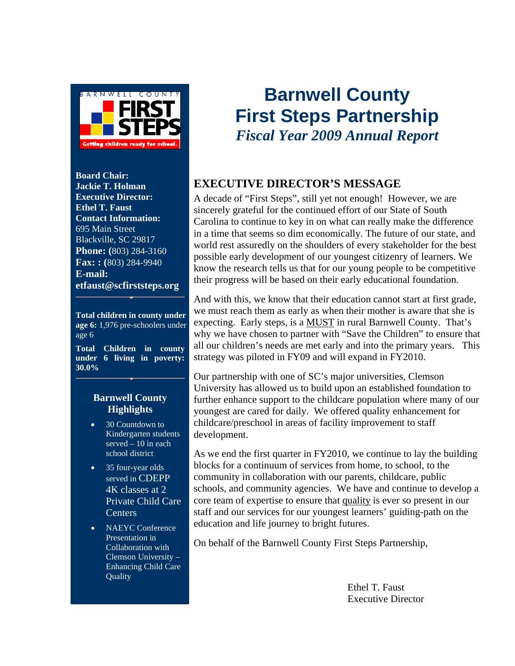

**Board Chair: Jackie T. Holman Executive Director: Ethel T. Faust Contact Information:**  695 Main Street Blackville, SC 29817 **Phone: (**803) 284-3160 **Fax: : (**803) 284-9940 **E-mail: etfaust@scfirststeps.org**

**Total children in county under age 6:** 1,976 pre-schoolers under age 6

**Total Children in county under 6 living in poverty: 30.0%** 

#### **Barnwell County Highlights**

- 30 Countdown to Kindergarten students served  $-10$  in each school district
- 35 four-year olds served in CDEPP 4K classes at 2 Private Child Care Centers
- NAEYC Conference Presentation in Collaboration with Clemson University – Enhancing Child Care **Ouality**

## **Barnwell County First Steps Partnership**  *Fiscal Year 2009 Annual Report*

#### **EXECUTIVE DIRECTOR'S MESSAGE**

A decade of "First Steps", still yet not enough! However, we are sincerely grateful for the continued effort of our State of South Carolina to continue to key in on what can really make the difference in a time that seems so dim economically. The future of our state, and world rest assuredly on the shoulders of every stakeholder for the best possible early development of our youngest citizenry of learners. We know the research tells us that for our young people to be competitive their progress will be based on their early educational foundation.

And with this, we know that their education cannot start at first grade, we must reach them as early as when their mother is aware that she is expecting. Early steps, is a MUST in rural Barnwell County. That's why we have chosen to partner with "Save the Children" to ensure that all our children's needs are met early and into the primary years. This strategy was piloted in FY09 and will expand in FY2010.

Our partnership with one of SC's major universities, Clemson University has allowed us to build upon an established foundation to further enhance support to the childcare population where many of our youngest are cared for daily. We offered quality enhancement for childcare/preschool in areas of facility improvement to staff development.

As we end the first quarter in FY2010, we continue to lay the building blocks for a continuum of services from home, to school, to the community in collaboration with our parents, childcare, public schools, and community agencies. We have and continue to develop a core team of expertise to ensure that quality is ever so present in our staff and our services for our youngest learners' guiding-path on the education and life journey to bright futures.

On behalf of the Barnwell County First Steps Partnership,

 Ethel T. Faust Executive Director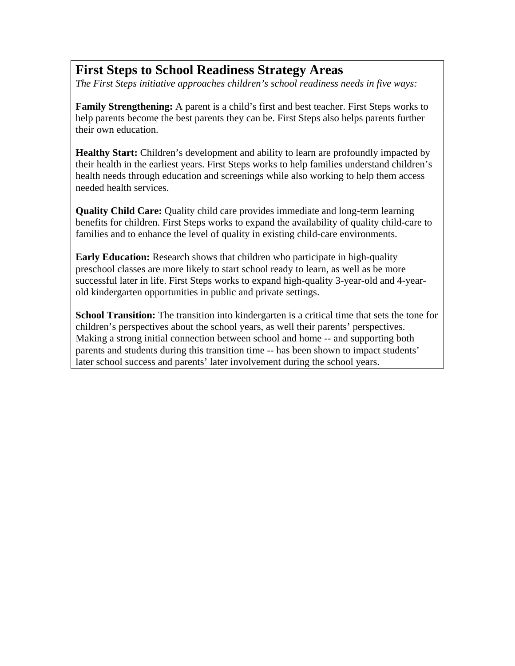## **First Steps to School Readiness Strategy Areas**

*The First Steps initiative approaches children's school readiness needs in five ways:* 

**Family Strengthening:** A parent is a child's first and best teacher. First Steps works to help parents become the best parents they can be. First Steps also helps parents further their own education.

**Healthy Start:** Children's development and ability to learn are profoundly impacted by their health in the earliest years. First Steps works to help families understand children's health needs through education and screenings while also working to help them access needed health services.

**Quality Child Care:** Quality child care provides immediate and long-term learning benefits for children. First Steps works to expand the availability of quality child-care to families and to enhance the level of quality in existing child-care environments.

**Early Education:** Research shows that children who participate in high-quality preschool classes are more likely to start school ready to learn, as well as be more successful later in life. First Steps works to expand high-quality 3-year-old and 4-yearold kindergarten opportunities in public and private settings.

**School Transition:** The transition into kindergarten is a critical time that sets the tone for children's perspectives about the school years, as well their parents' perspectives. Making a strong initial connection between school and home -- and supporting both parents and students during this transition time -- has been shown to impact students' later school success and parents' later involvement during the school years.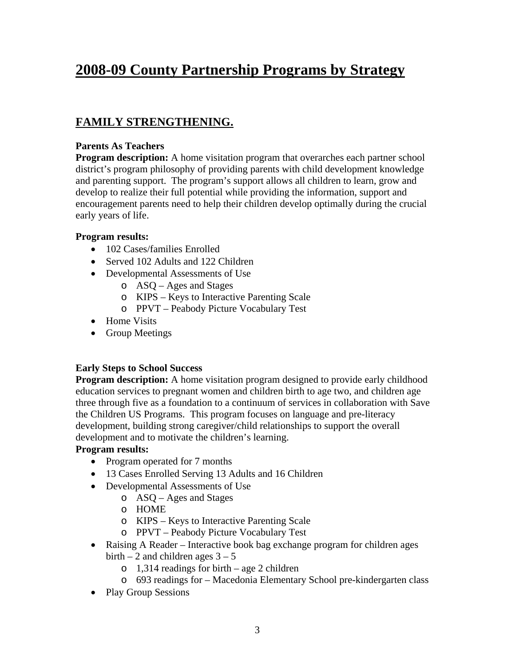## **2008-09 County Partnership Programs by Strategy**

#### **FAMILY STRENGTHENING.**

#### **Parents As Teachers**

**Program description:** A home visitation program that overarches each partner school district's program philosophy of providing parents with child development knowledge and parenting support. The program's support allows all children to learn, grow and develop to realize their full potential while providing the information, support and encouragement parents need to help their children develop optimally during the crucial early years of life.

#### **Program results:**

- 102 Cases/families Enrolled
- Served 102 Adults and 122 Children
- Developmental Assessments of Use
	- o ASQ Ages and Stages
	- o KIPS Keys to Interactive Parenting Scale
	- o PPVT Peabody Picture Vocabulary Test
- Home Visits
- Group Meetings

#### **Early Steps to School Success**

**Program description:** A home visitation program designed to provide early childhood education services to pregnant women and children birth to age two, and children age three through five as a foundation to a continuum of services in collaboration with Save the Children US Programs. This program focuses on language and pre-literacy development, building strong caregiver/child relationships to support the overall development and to motivate the children's learning.

#### **Program results:**

- Program operated for 7 months
- 13 Cases Enrolled Serving 13 Adults and 16 Children
- Developmental Assessments of Use
	- o ASQ Ages and Stages
	- o HOME
	- o KIPS Keys to Interactive Parenting Scale
	- o PPVT Peabody Picture Vocabulary Test
- Raising A Reader Interactive book bag exchange program for children ages birth  $-2$  and children ages  $3 - 5$ 
	- $\circ$  1,314 readings for birth age 2 children
	- o 693 readings for Macedonia Elementary School pre-kindergarten class
- Play Group Sessions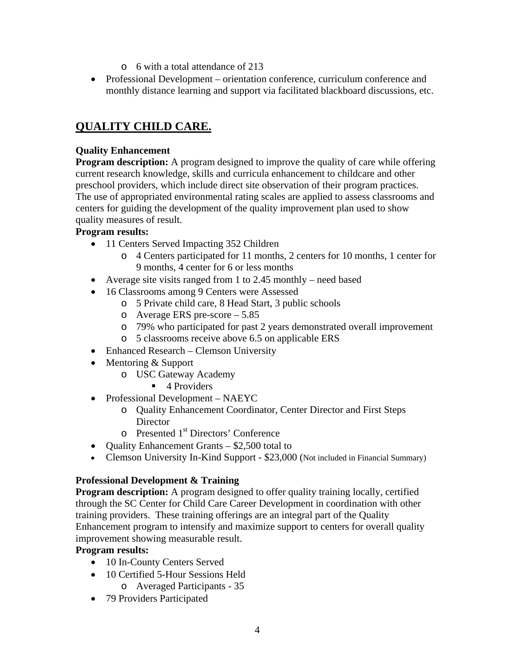- o 6 with a total attendance of 213
- Professional Development orientation conference, curriculum conference and monthly distance learning and support via facilitated blackboard discussions, etc.

### **QUALITY CHILD CARE.**

#### **Quality Enhancement**

**Program description:** A program designed to improve the quality of care while offering current research knowledge, skills and curricula enhancement to childcare and other preschool providers, which include direct site observation of their program practices. The use of appropriated environmental rating scales are applied to assess classrooms and centers for guiding the development of the quality improvement plan used to show quality measures of result.

#### **Program results:**

- 11 Centers Served Impacting 352 Children
	- o 4 Centers participated for 11 months, 2 centers for 10 months, 1 center for 9 months, 4 center for 6 or less months
- Average site visits ranged from 1 to 2.45 monthly need based
- 16 Classrooms among 9 Centers were Assessed
	- o 5 Private child care, 8 Head Start, 3 public schools
	- o Average ERS pre-score 5.85
	- o 79% who participated for past 2 years demonstrated overall improvement
	- o 5 classrooms receive above 6.5 on applicable ERS
- Enhanced Research Clemson University
- Mentoring & Support
	- o USC Gateway Academy
		- $\blacksquare$  4 Providers
- Professional Development NAEYC
	- o Quality Enhancement Coordinator, Center Director and First Steps **Director**
	- o Presented 1st Directors' Conference
- Quality Enhancement Grants \$2,500 total to
- Clemson University In-Kind Support \$23,000 (Not included in Financial Summary)

#### **Professional Development & Training**

**Program description:** A program designed to offer quality training locally, certified through the SC Center for Child Care Career Development in coordination with other training providers. These training offerings are an integral part of the Quality Enhancement program to intensify and maximize support to centers for overall quality improvement showing measurable result.

#### **Program results:**

- 10 In-County Centers Served
- 10 Certified 5-Hour Sessions Held o Averaged Participants - 35
- 79 Providers Participated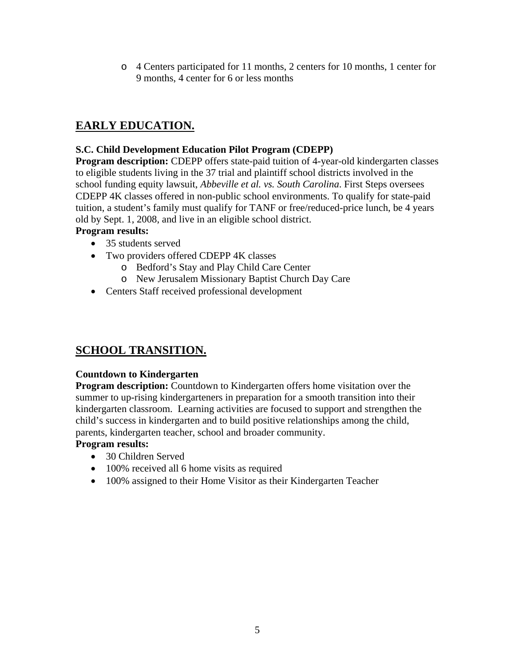o 4 Centers participated for 11 months, 2 centers for 10 months, 1 center for 9 months, 4 center for 6 or less months

#### **EARLY EDUCATION.**

#### **S.C. Child Development Education Pilot Program (CDEPP)**

**Program description:** CDEPP offers state-paid tuition of 4-year-old kindergarten classes to eligible students living in the 37 trial and plaintiff school districts involved in the school funding equity lawsuit, *Abbeville et al. vs. South Carolina*. First Steps oversees CDEPP 4K classes offered in non-public school environments. To qualify for state-paid tuition, a student's family must qualify for TANF or free/reduced-price lunch, be 4 years old by Sept. 1, 2008, and live in an eligible school district.

#### **Program results:**

- 35 students served
- Two providers offered CDEPP 4K classes
	- o Bedford's Stay and Play Child Care Center
	- o New Jerusalem Missionary Baptist Church Day Care
- Centers Staff received professional development

#### **SCHOOL TRANSITION.**

#### **Countdown to Kindergarten**

**Program description:** Countdown to Kindergarten offers home visitation over the summer to up-rising kindergarteners in preparation for a smooth transition into their kindergarten classroom. Learning activities are focused to support and strengthen the child's success in kindergarten and to build positive relationships among the child, parents, kindergarten teacher, school and broader community.

#### **Program results:**

- 30 Children Served
- 100% received all 6 home visits as required
- 100% assigned to their Home Visitor as their Kindergarten Teacher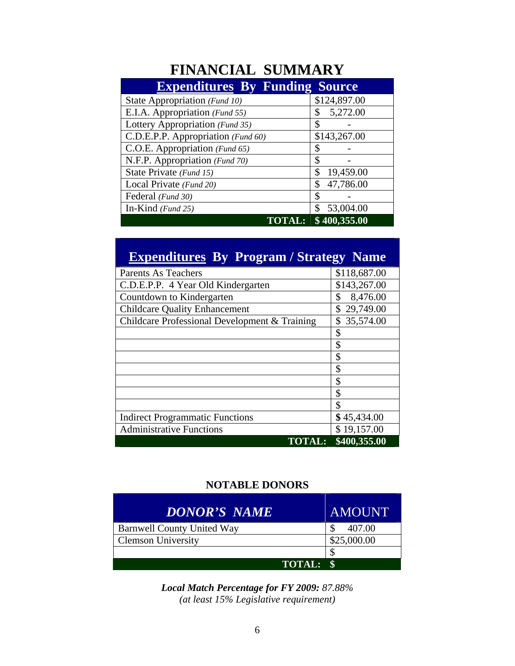## **FINANCIAL SUMMARY**

| <b>Expenditures By Funding Source</b> |                 |
|---------------------------------------|-----------------|
| State Appropriation (Fund 10)         | \$124,897.00    |
| E.I.A. Appropriation (Fund 55)        | 5,272.00<br>\$  |
| Lottery Appropriation (Fund 35)       | \$              |
| C.D.E.P.P. Appropriation (Fund 60)    | \$143,267.00    |
| C.O.E. Appropriation (Fund 65)        | \$              |
| N.F.P. Appropriation (Fund 70)        | \$              |
| State Private (Fund 15)               | \$<br>19,459.00 |
| Local Private (Fund 20)               | 47,786.00<br>\$ |
| Federal (Fund 30)                     | \$              |
| In-Kind $(Fund 25)$                   | 53,004.00<br>\$ |
| `AL:                                  | \$400,355.00    |

## **Expenditures By Program / Strategy Name**

| <b>Parents As Teachers</b>                    | \$118,687.00    |
|-----------------------------------------------|-----------------|
| C.D.E.P.P. 4 Year Old Kindergarten            | \$143,267.00    |
| Countdown to Kindergarten                     | \$<br>8,476.00  |
| <b>Childcare Quality Enhancement</b>          | 29,749.00       |
| Childcare Professional Development & Training | 35,574.00<br>\$ |
|                                               | \$              |
|                                               | \$              |
|                                               | \$              |
|                                               | \$              |
|                                               | \$              |
|                                               | \$              |
|                                               | \$              |
| <b>Indirect Programmatic Functions</b>        | \$45,434.00     |
| <b>Administrative Functions</b>               | \$19,157.00     |
| <b>TOTAL:</b>                                 | \$400,355.00    |

#### **NOTABLE DONORS**

| DONOR'S NAME                      | <b>AMOUNT</b> |
|-----------------------------------|---------------|
| <b>Barnwell County United Way</b> | 407.00        |
| <b>Clemson University</b>         | \$25,000.00   |
|                                   |               |
| <b>TOTAL:</b>                     |               |

*Local Match Percentage for FY 2009: 87.88% (at least 15% Legislative requirement)*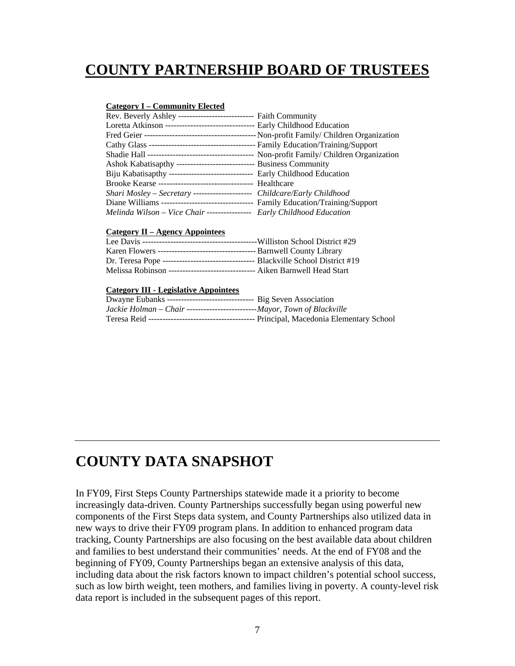## **COUNTY PARTNERSHIP BOARD OF TRUSTEES**

#### **Category I – Community Elected**

| Rev. Beverly Ashley --------------------------- Faith Community                      |
|--------------------------------------------------------------------------------------|
| Loretta Atkinson -------------------------------- Early Childhood Education          |
|                                                                                      |
|                                                                                      |
|                                                                                      |
| Ashok Kabatisapthy ------------------------------- Business Community                |
| Biju Kabatisapthy ------------------------------- Early Childhood Education          |
|                                                                                      |
| Shari Mosley - Secretary -------------------- Childcare/Early Childhood              |
| Diane Williams ----------------------------------- Family Education/Training/Support |
| Melinda Wilson - Vice Chair ---------------- Early Childhood Education               |
|                                                                                      |

#### **Category II – Agency Appointees**

| Melissa Robinson --------------------------------- Aiken Barnwell Head Start |  |
|------------------------------------------------------------------------------|--|

#### **Category III - Legislative Appointees**

| Dwayne Eubanks -------------------------------- Big Seven Association    |  |
|--------------------------------------------------------------------------|--|
| Jackie Holman – Chair -------------------------Mayor, Town of Blackville |  |
|                                                                          |  |

## **COUNTY DATA SNAPSHOT**

In FY09, First Steps County Partnerships statewide made it a priority to become increasingly data-driven. County Partnerships successfully began using powerful new components of the First Steps data system, and County Partnerships also utilized data in new ways to drive their FY09 program plans. In addition to enhanced program data tracking, County Partnerships are also focusing on the best available data about children and families to best understand their communities' needs. At the end of FY08 and the beginning of FY09, County Partnerships began an extensive analysis of this data, including data about the risk factors known to impact children's potential school success, such as low birth weight, teen mothers, and families living in poverty. A county-level risk data report is included in the subsequent pages of this report.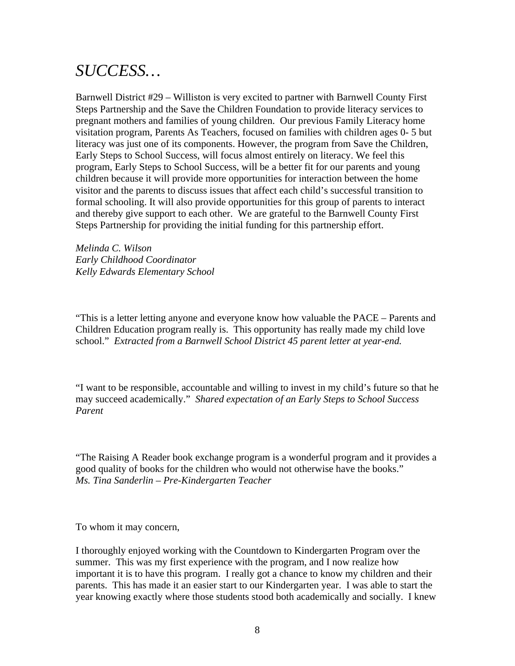## *SUCCESS…*

Barnwell District #29 – Williston is very excited to partner with Barnwell County First Steps Partnership and the Save the Children Foundation to provide literacy services to pregnant mothers and families of young children. Our previous Family Literacy home visitation program, Parents As Teachers, focused on families with children ages 0- 5 but literacy was just one of its components. However, the program from Save the Children, Early Steps to School Success, will focus almost entirely on literacy. We feel this program, Early Steps to School Success, will be a better fit for our parents and young children because it will provide more opportunities for interaction between the home visitor and the parents to discuss issues that affect each child's successful transition to formal schooling. It will also provide opportunities for this group of parents to interact and thereby give support to each other. We are grateful to the Barnwell County First Steps Partnership for providing the initial funding for this partnership effort.

*Melinda C. Wilson Early Childhood Coordinator Kelly Edwards Elementary School* 

"This is a letter letting anyone and everyone know how valuable the PACE – Parents and Children Education program really is. This opportunity has really made my child love school." *Extracted from a Barnwell School District 45 parent letter at year-end.* 

"I want to be responsible, accountable and willing to invest in my child's future so that he may succeed academically." *Shared expectation of an Early Steps to School Success Parent* 

"The Raising A Reader book exchange program is a wonderful program and it provides a good quality of books for the children who would not otherwise have the books." *Ms. Tina Sanderlin – Pre-Kindergarten Teacher* 

To whom it may concern,

I thoroughly enjoyed working with the Countdown to Kindergarten Program over the summer. This was my first experience with the program, and I now realize how important it is to have this program. I really got a chance to know my children and their parents. This has made it an easier start to our Kindergarten year. I was able to start the year knowing exactly where those students stood both academically and socially. I knew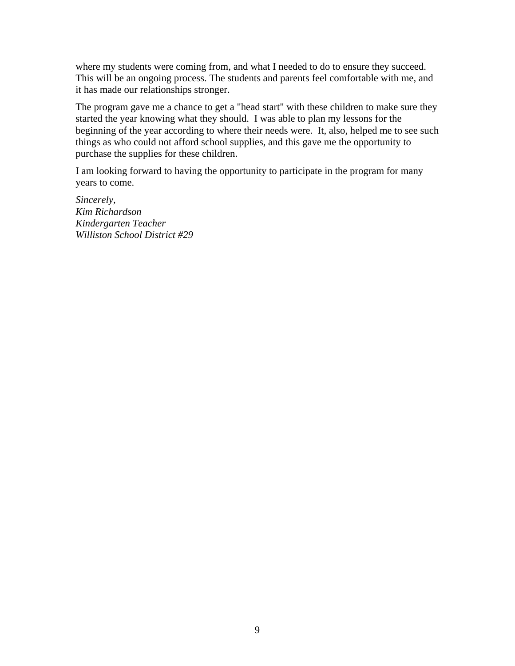where my students were coming from, and what I needed to do to ensure they succeed. This will be an ongoing process. The students and parents feel comfortable with me, and it has made our relationships stronger.

The program gave me a chance to get a "head start" with these children to make sure they started the year knowing what they should. I was able to plan my lessons for the beginning of the year according to where their needs were. It, also, helped me to see such things as who could not afford school supplies, and this gave me the opportunity to purchase the supplies for these children.

I am looking forward to having the opportunity to participate in the program for many years to come.

*Sincerely, Kim Richardson Kindergarten Teacher Williston School District #29*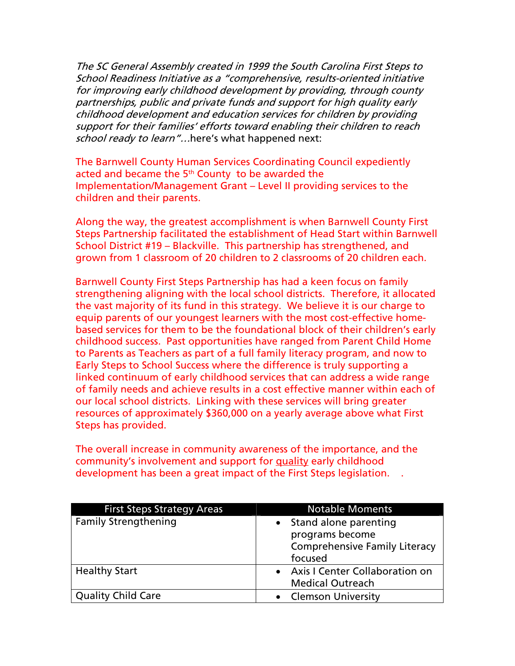The SC General Assembly created in 1999 the South Carolina First Steps to School Readiness Initiative as a "comprehensive, results-oriented initiative for improving early childhood development by providing, through county partnerships, public and private funds and support for high quality early childhood development and education services for children by providing support for their families' efforts toward enabling their children to reach school ready to learn"...here's what happened next:

The Barnwell County Human Services Coordinating Council expediently acted and became the  $5<sup>th</sup>$  County to be awarded the Implementation/Management Grant – Level II providing services to the children and their parents.

Along the way, the greatest accomplishment is when Barnwell County First Steps Partnership facilitated the establishment of Head Start within Barnwell School District #19 – Blackville. This partnership has strengthened, and grown from 1 classroom of 20 children to 2 classrooms of 20 children each.

Barnwell County First Steps Partnership has had a keen focus on family strengthening aligning with the local school districts. Therefore, it allocated the vast majority of its fund in this strategy. We believe it is our charge to equip parents of our youngest learners with the most cost-effective homebased services for them to be the foundational block of their children's early childhood success. Past opportunities have ranged from Parent Child Home to Parents as Teachers as part of a full family literacy program, and now to Early Steps to School Success where the difference is truly supporting a linked continuum of early childhood services that can address a wide range of family needs and achieve results in a cost effective manner within each of our local school districts. Linking with these services will bring greater resources of approximately \$360,000 on a yearly average above what First Steps has provided.

The overall increase in community awareness of the importance, and the community's involvement and support for quality early childhood development has been a great impact of the First Steps legislation. .

| <b>First Steps Strategy Areas</b> | <b>Notable Moments</b>                                                                                   |
|-----------------------------------|----------------------------------------------------------------------------------------------------------|
| <b>Family Strengthening</b>       | Stand alone parenting<br>$\bullet$<br>programs become<br><b>Comprehensive Family Literacy</b><br>focused |
| <b>Healthy Start</b>              | • Axis I Center Collaboration on<br><b>Medical Outreach</b>                                              |
| <b>Quality Child Care</b>         | • Clemson University                                                                                     |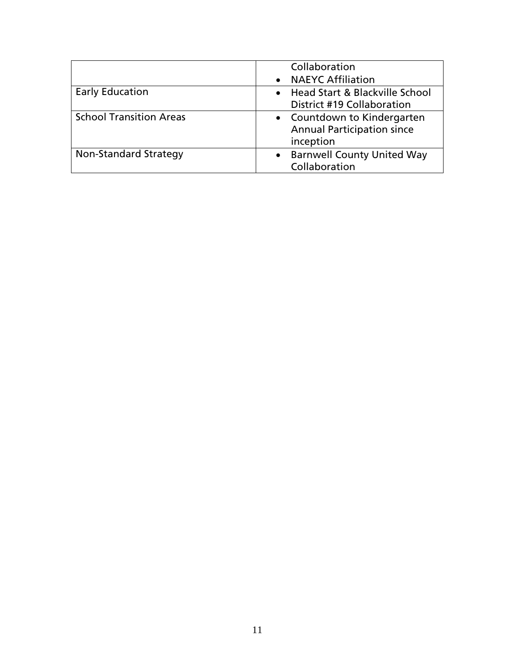|                                | Collaboration                                  |
|--------------------------------|------------------------------------------------|
|                                | • NAEYC Affiliation                            |
| <b>Early Education</b>         | • Head Start & Blackville School               |
|                                | District #19 Collaboration                     |
| <b>School Transition Areas</b> | • Countdown to Kindergarten                    |
|                                | <b>Annual Participation since</b>              |
|                                | inception                                      |
| Non-Standard Strategy          | <b>Barnwell County United Way</b><br>$\bullet$ |
|                                | Collaboration                                  |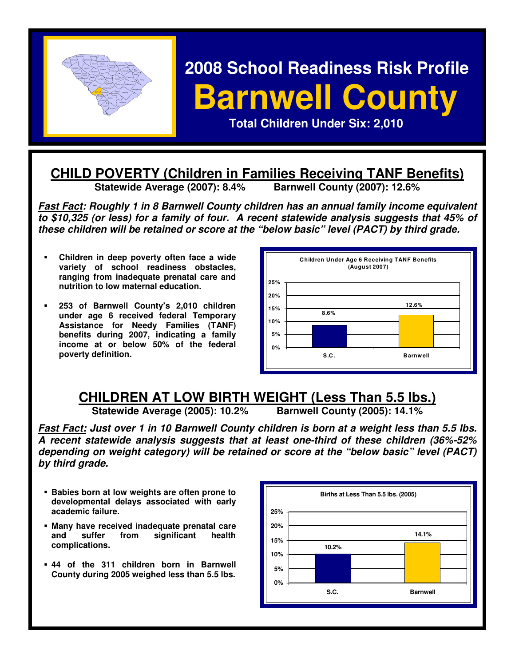

# **2008 School Readiness Risk Profile Barnwell County**

 **Total Children Under Six: 2,010** 

## **CHILD POVERTY (Children in Families Receiving TANF Benefits)**<br>Statewide Average (2007): 8.4% Barnwell County (2007): 12.6%

**Statewide Average (2007): 8.4%** 

**Fast Fact: Roughly 1 in 8 Barnwell County children has an annual family income equivalent to \$10,325 (or less) for a family of four. A recent statewide analysis suggests that 45% of these children will be retained or score at the "below basic" level (PACT) by third grade.** 

- **Children in deep poverty often face a wide variety of school readiness obstacles, ranging from inadequate prenatal care and nutrition to low maternal education.**
- **253 of Barnwell County's 2,010 children under age 6 received federal Temporary Assistance for Needy Families (TANF) benefits during 2007, indicating a family income at or below 50% of the federal poverty definition.**



## **CHILDREN AT LOW BIRTH WEIGHT (Less Than 5.5 lbs.)**<br>Statewide Average (2005): 10.2% Barnwell County (2005): 14.1%

**Statewide Average (2005): 10.2%** 

**Fast Fact: Just over 1 in 10 Barnwell County children is born at a weight less than 5.5 lbs. A recent statewide analysis suggests that at least one-third of these children (36%-52% depending on weight category) will be retained or score at the "below basic" level (PACT) by third grade.** 

- **Babies born at low weights are often prone to developmental delays associated with early academic failure.**
- **Many have received inadequate prenatal care and suffer from significant health complications.**
- **44 of the 311 children born in Barnwell County during 2005 weighed less than 5.5 lbs.**